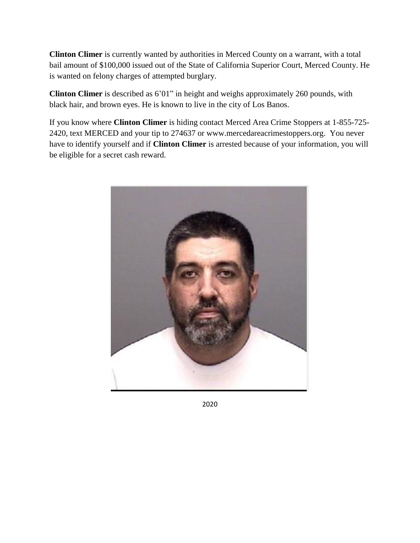**Clinton Climer** is currently wanted by authorities in Merced County on a warrant, with a total bail amount of \$100,000 issued out of the State of California Superior Court, Merced County. He is wanted on felony charges of attempted burglary.

**Clinton Climer** is described as 6'01" in height and weighs approximately 260 pounds, with black hair, and brown eyes. He is known to live in the city of Los Banos.

If you know where **Clinton Climer** is hiding contact Merced Area Crime Stoppers at 1-855-725- 2420, text MERCED and your tip to 274637 or www.mercedareacrimestoppers.org. You never have to identify yourself and if **Clinton Climer** is arrested because of your information, you will be eligible for a secret cash reward.



2020